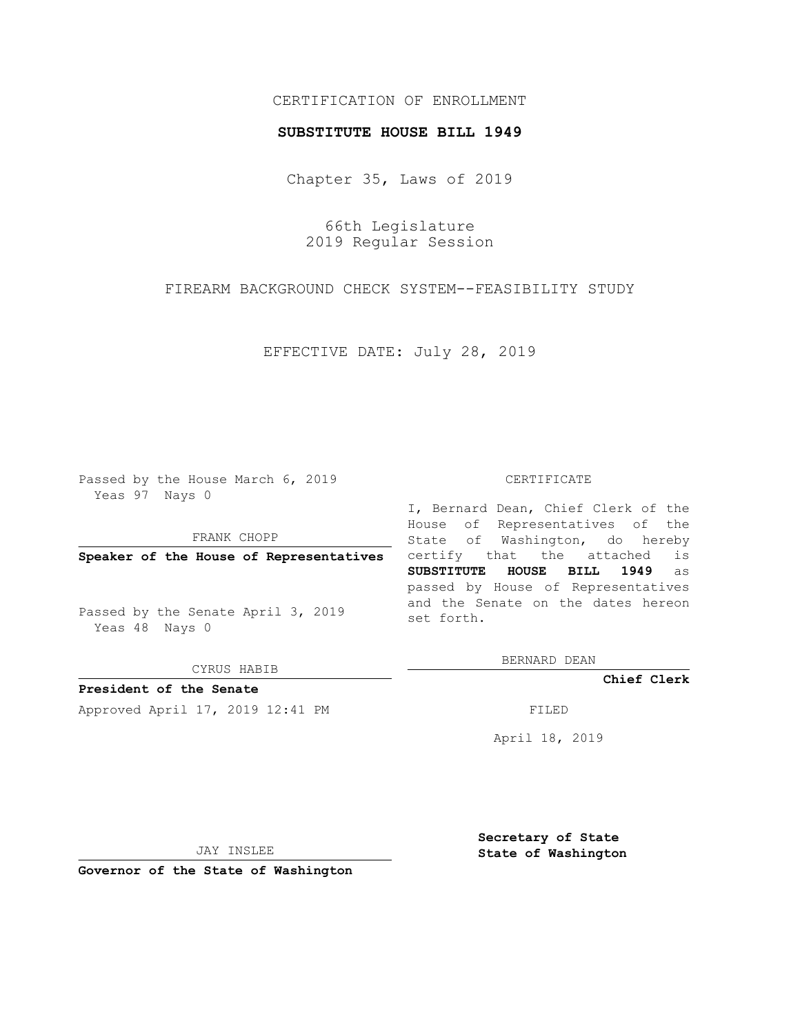## CERTIFICATION OF ENROLLMENT

## **SUBSTITUTE HOUSE BILL 1949**

Chapter 35, Laws of 2019

66th Legislature 2019 Regular Session

FIREARM BACKGROUND CHECK SYSTEM--FEASIBILITY STUDY

EFFECTIVE DATE: July 28, 2019

Passed by the House March 6, 2019 Yeas 97 Nays 0

FRANK CHOPP

**Speaker of the House of Representatives**

Passed by the Senate April 3, 2019 Yeas 48 Nays 0

CYRUS HABIB

**President of the Senate**

Approved April 17, 2019 12:41 PM FILED

## CERTIFICATE

I, Bernard Dean, Chief Clerk of the House of Representatives of the State of Washington, do hereby certify that the attached is **SUBSTITUTE HOUSE BILL 1949** as passed by House of Representatives and the Senate on the dates hereon set forth.

BERNARD DEAN

**Chief Clerk**

April 18, 2019

JAY INSLEE

**Governor of the State of Washington**

**Secretary of State State of Washington**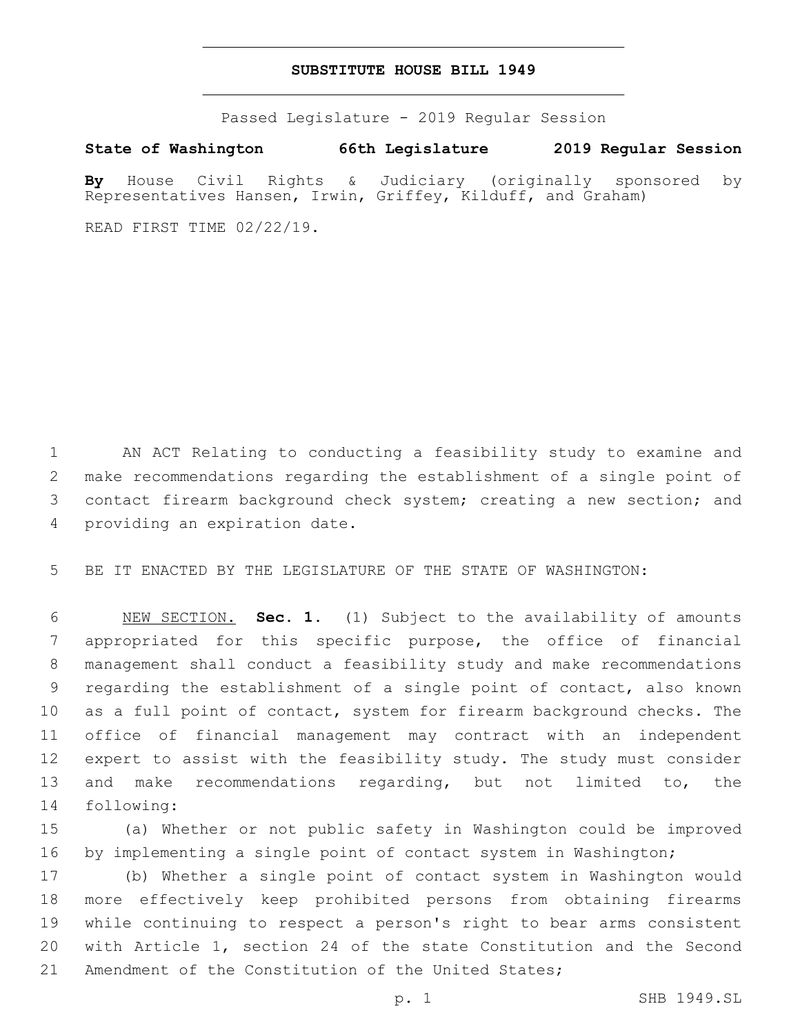## **SUBSTITUTE HOUSE BILL 1949**

Passed Legislature - 2019 Regular Session

**State of Washington 66th Legislature 2019 Regular Session**

**By** House Civil Rights & Judiciary (originally sponsored by Representatives Hansen, Irwin, Griffey, Kilduff, and Graham)

READ FIRST TIME 02/22/19.

 AN ACT Relating to conducting a feasibility study to examine and make recommendations regarding the establishment of a single point of contact firearm background check system; creating a new section; and 4 providing an expiration date.

BE IT ENACTED BY THE LEGISLATURE OF THE STATE OF WASHINGTON:

 NEW SECTION. **Sec. 1.** (1) Subject to the availability of amounts appropriated for this specific purpose, the office of financial management shall conduct a feasibility study and make recommendations regarding the establishment of a single point of contact, also known as a full point of contact, system for firearm background checks. The office of financial management may contract with an independent expert to assist with the feasibility study. The study must consider and make recommendations regarding, but not limited to, the following:

 (a) Whether or not public safety in Washington could be improved by implementing a single point of contact system in Washington;

 (b) Whether a single point of contact system in Washington would more effectively keep prohibited persons from obtaining firearms while continuing to respect a person's right to bear arms consistent with Article 1, section 24 of the state Constitution and the Second Amendment of the Constitution of the United States;